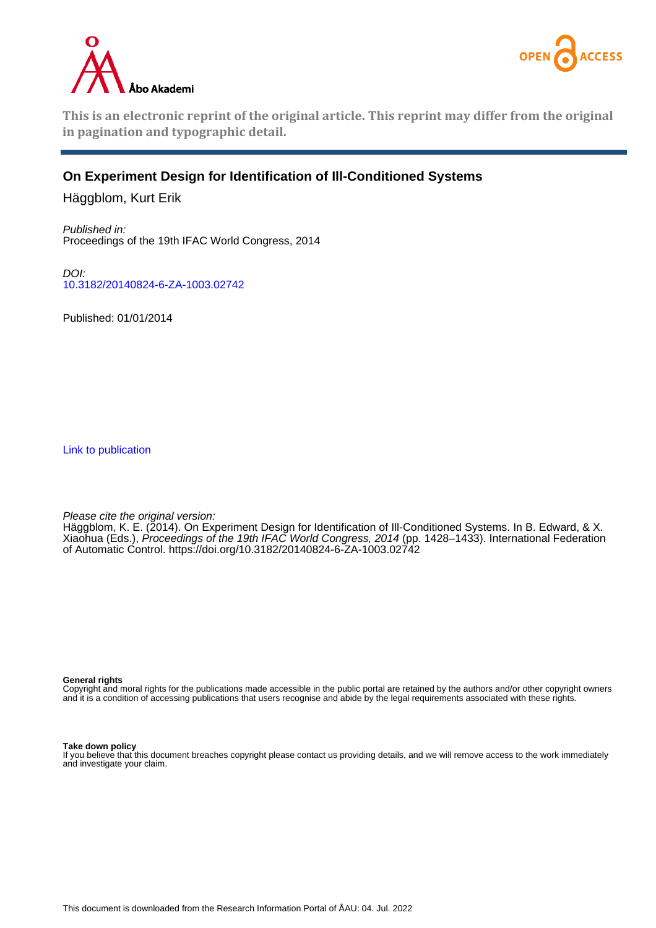



**This is an electronic reprint of the original article. This reprint may differ from the original in pagination and typographic detail.**

# **On Experiment Design for Identification of Ill-Conditioned Systems**

Häggblom, Kurt Erik

Published in: Proceedings of the 19th IFAC World Congress, 2014

DOI: [10.3182/20140824-6-ZA-1003.02742](https://doi.org/10.3182/20140824-6-ZA-1003.02742)

Published: 01/01/2014

[Link to publication](https://research.abo.fi/en/publications/7d03f0db-db58-4752-8f36-2d479eded4a9)

Please cite the original version:

Häggblom, K. E. (2014). On Experiment Design for Identification of Ill-Conditioned Systems. In B. Edward, & X. Xiaohua (Eds.), *Proceedings of the 19th IFAC World Congress, 2014* (pp. 1428–1433). International Federation of Automatic Control.<https://doi.org/10.3182/20140824-6-ZA-1003.02742>

**General rights**

Copyright and moral rights for the publications made accessible in the public portal are retained by the authors and/or other copyright owners and it is a condition of accessing publications that users recognise and abide by the legal requirements associated with these rights.

**Take down policy**

If you believe that this document breaches copyright please contact us providing details, and we will remove access to the work immediately and investigate your claim.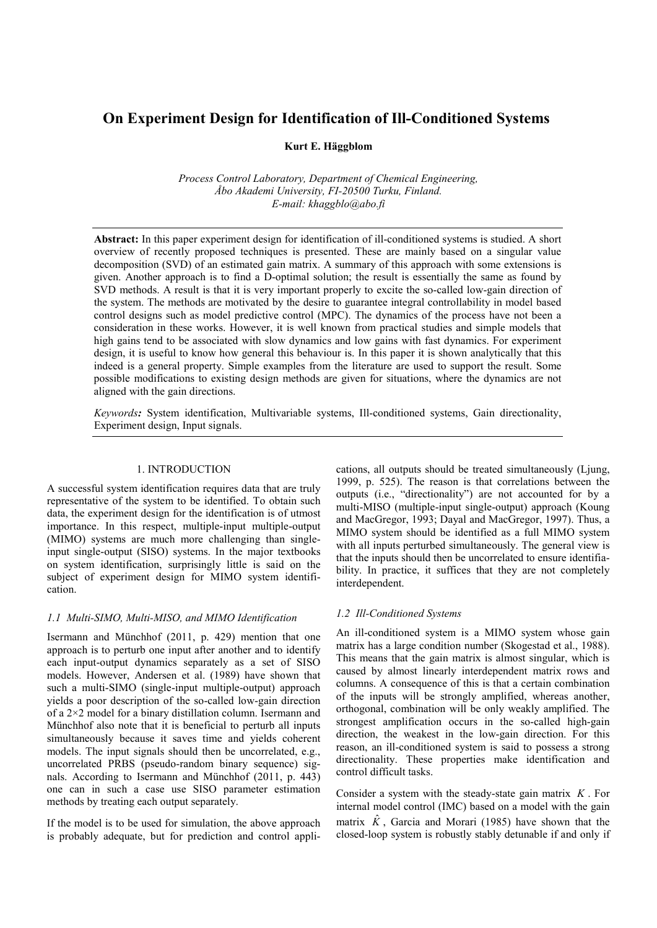# **On Experiment Design for Identification of Ill-Conditioned Systems**

**Kurt E. Häggblom**

*Process Control Laboratory, Department of Chemical Engineering, Åbo Akademi University, FI-20500 Turku, Finland. E-mail: khaggblo@abo.fi*

**Abstract:** In this paper experiment design for identification of ill-conditioned systems is studied. A short overview of recently proposed techniques is presented. These are mainly based on a singular value decomposition (SVD) of an estimated gain matrix. A summary of this approach with some extensions is given. Another approach is to find a D-optimal solution; the result is essentially the same as found by SVD methods. A result is that it is very important properly to excite the so-called low-gain direction of the system. The methods are motivated by the desire to guarantee integral controllability in model based control designs such as model predictive control (MPC). The dynamics of the process have not been a consideration in these works. However, it is well known from practical studies and simple models that high gains tend to be associated with slow dynamics and low gains with fast dynamics. For experiment design, it is useful to know how general this behaviour is. In this paper it is shown analytically that this indeed is a general property. Simple examples from the literature are used to support the result. Some possible modifications to existing design methods are given for situations, where the dynamics are not aligned with the gain directions.

*Keywords:* System identification, Multivariable systems, Ill-conditioned systems, Gain directionality, Experiment design, Input signals.

## 1. INTRODUCTION

A successful system identification requires data that are truly representative of the system to be identified. To obtain such data, the experiment design for the identification is of utmost importance. In this respect, multiple-input multiple-output (MIMO) systems are much more challenging than singleinput single-output (SISO) systems. In the major textbooks on system identification, surprisingly little is said on the subject of experiment design for MIMO system identification.

#### *1.1 Multi-SIMO, Multi-MISO, and MIMO Identification*

Isermann and Münchhof (2011, p. 429) mention that one approach is to perturb one input after another and to identify each input-output dynamics separately as a set of SISO models. However, Andersen et al. (1989) have shown that such a multi-SIMO (single-input multiple-output) approach yields a poor description of the so-called low-gain direction of a 2×2 model for a binary distillation column. Isermann and Münchhof also note that it is beneficial to perturb all inputs simultaneously because it saves time and yields coherent models. The input signals should then be uncorrelated, e.g., uncorrelated PRBS (pseudo-random binary sequence) signals. According to Isermann and Münchhof (2011, p. 443) one can in such a case use SISO parameter estimation methods by treating each output separately.

If the model is to be used for simulation, the above approach is probably adequate, but for prediction and control applications, all outputs should be treated simultaneously (Ljung, 1999, p. 525). The reason is that correlations between the outputs (i.e., "directionality") are not accounted for by a multi-MISO (multiple-input single-output) approach (Koung and MacGregor, 1993; Dayal and MacGregor, 1997). Thus, a MIMO system should be identified as a full MIMO system with all inputs perturbed simultaneously. The general view is that the inputs should then be uncorrelated to ensure identifiability. In practice, it suffices that they are not completely interdependent.

## *1.2 Ill-Conditioned Systems*

An ill-conditioned system is a MIMO system whose gain matrix has a large condition number (Skogestad et al., 1988). This means that the gain matrix is almost singular, which is caused by almost linearly interdependent matrix rows and columns. A consequence of this is that a certain combination of the inputs will be strongly amplified, whereas another, orthogonal, combination will be only weakly amplified. The strongest amplification occurs in the so-called high-gain direction, the weakest in the low-gain direction. For this reason, an ill-conditioned system is said to possess a strong directionality. These properties make identification and control difficult tasks.

Consider a system with the steady-state gain matrix *K* . For internal model control (IMC) based on a model with the gain matrix  $\hat{K}$ , Garcia and Morari (1985) have shown that the closed-loop system is robustly stably detunable if and only if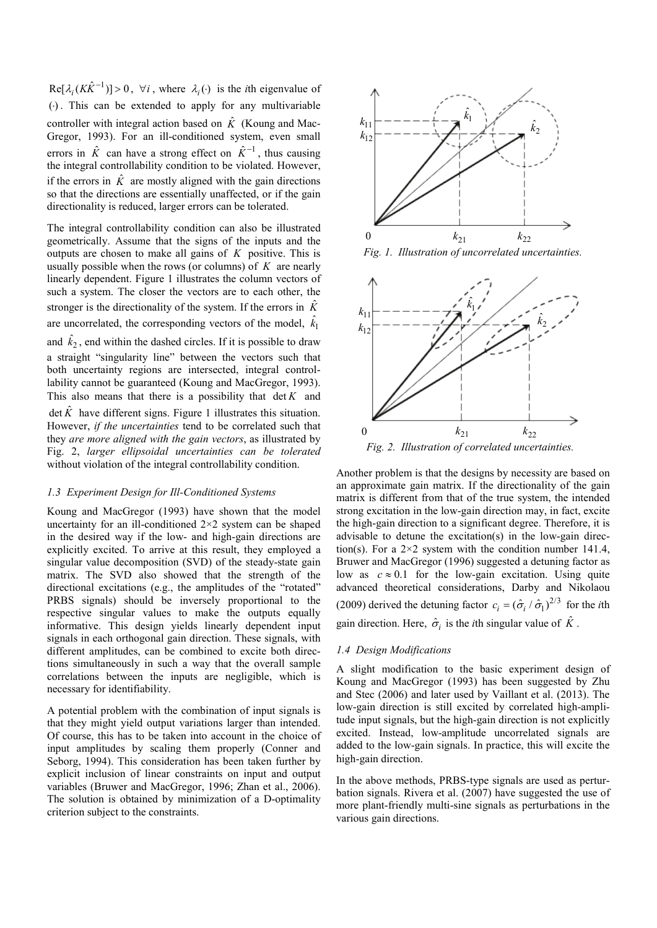$\text{Re}[\lambda_i (K\hat{K}^{-1})] > 0$ ,  $\forall i$ , where  $\lambda_i(\cdot)$  is the *i*th eigenvalue of  $(·)$ . This can be extended to apply for any multivariable controller with integral action based on  $\hat{K}$  (Koung and Mac-Gregor, 1993). For an ill-conditioned system, even small errors in  $\hat{K}$  can have a strong effect on  $\hat{K}^{-1}$ , thus causing the integral controllability condition to be violated. However, if the errors in  $\hat{K}$  are mostly aligned with the gain directions so that the directions are essentially unaffected, or if the gain directionality is reduced, larger errors can be tolerated.

The integral controllability condition can also be illustrated geometrically. Assume that the signs of the inputs and the outputs are chosen to make all gains of *K* positive. This is usually possible when the rows (or columns) of *K* are nearly linearly dependent. Figure 1 illustrates the column vectors of such a system. The closer the vectors are to each other, the stronger is the directionality of the system. If the errors in  $\hat{K}$ are uncorrelated, the corresponding vectors of the model,  $\hat{k_1}$ and  $\hat{k}_2$ , end within the dashed circles. If it is possible to draw a straight "singularity line" between the vectors such that both uncertainty regions are intersected, integral controllability cannot be guaranteed (Koung and MacGregor, 1993). This also means that there is a possibility that det *K* and  $\det \hat{K}$  have different signs. Figure 1 illustrates this situation. However, *if the uncertainties* tend to be correlated such that they *are more aligned with the gain vectors*, as illustrated by Fig. 2, *larger ellipsoidal uncertainties can be tolerated* without violation of the integral controllability condition.

## *1.3 Experiment Design for Ill-Conditioned Systems*

Koung and MacGregor (1993) have shown that the model uncertainty for an ill-conditioned  $2\times 2$  system can be shaped in the desired way if the low- and high-gain directions are explicitly excited. To arrive at this result, they employed a singular value decomposition (SVD) of the steady-state gain matrix. The SVD also showed that the strength of the directional excitations (e.g., the amplitudes of the "rotated" PRBS signals) should be inversely proportional to the respective singular values to make the outputs equally informative. This design yields linearly dependent input signals in each orthogonal gain direction. These signals, with different amplitudes, can be combined to excite both directions simultaneously in such a way that the overall sample correlations between the inputs are negligible, which is necessary for identifiability.

A potential problem with the combination of input signals is that they might yield output variations larger than intended. Of course, this has to be taken into account in the choice of input amplitudes by scaling them properly (Conner and Seborg, 1994). This consideration has been taken further by explicit inclusion of linear constraints on input and output variables (Bruwer and MacGregor, 1996; Zhan et al., 2006). The solution is obtained by minimization of a D-optimality criterion subject to the constraints.



*Fig. 1. Illustration of uncorrelated uncertainties.*



*Fig. 2. Illustration of correlated uncertainties.*

Another problem is that the designs by necessity are based on an approximate gain matrix. If the directionality of the gain matrix is different from that of the true system, the intended strong excitation in the low-gain direction may, in fact, excite the high-gain direction to a significant degree. Therefore, it is advisable to detune the excitation(s) in the low-gain direction(s). For a  $2\times 2$  system with the condition number 141.4, Bruwer and MacGregor (1996) suggested a detuning factor as low as  $c \approx 0.1$  for the low-gain excitation. Using quite advanced theoretical considerations, Darby and Nikolaou (2009) derived the detuning factor  $c_i = (\hat{\sigma}_i / \hat{\sigma}_1)^{2/3}$  for the *i*th gain direction. Here,  $\hat{\sigma}_i$  is the *i*th singular value of  $\hat{K}$ .

## *1.4 Design Modifications*

A slight modification to the basic experiment design of Koung and MacGregor (1993) has been suggested by Zhu and Stec (2006) and later used by Vaillant et al. (2013). The low-gain direction is still excited by correlated high-amplitude input signals, but the high-gain direction is not explicitly excited. Instead, low-amplitude uncorrelated signals are added to the low-gain signals. In practice, this will excite the high-gain direction.

In the above methods, PRBS-type signals are used as perturbation signals. Rivera et al. (2007) have suggested the use of more plant-friendly multi-sine signals as perturbations in the various gain directions.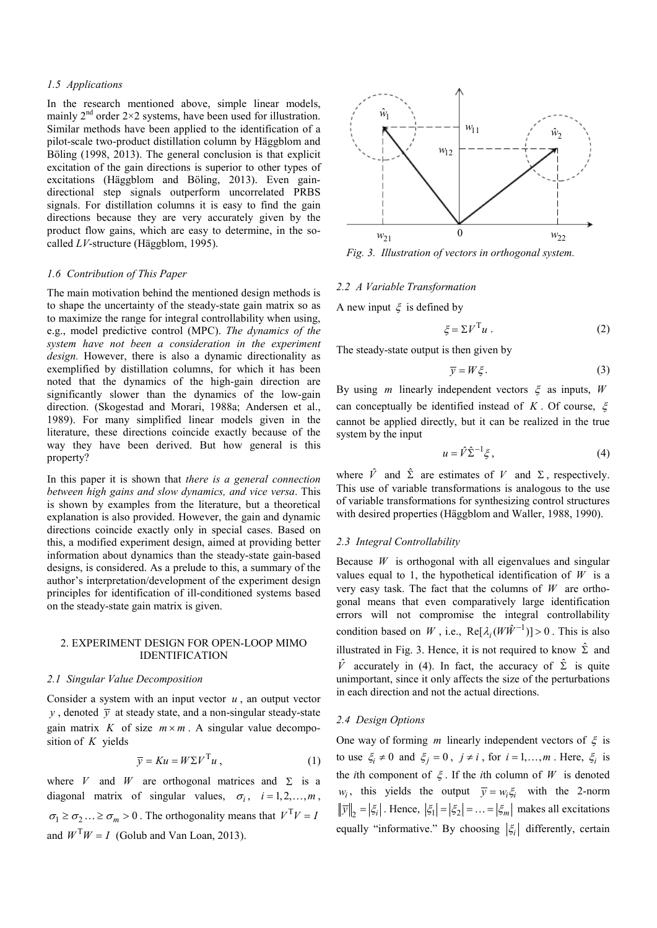## *1.5 Applications*

In the research mentioned above, simple linear models, mainly  $2<sup>nd</sup>$  order  $2\times 2$  systems, have been used for illustration. Similar methods have been applied to the identification of a pilot-scale two-product distillation column by Häggblom and Böling (1998, 2013). The general conclusion is that explicit excitation of the gain directions is superior to other types of excitations (Häggblom and Böling, 2013). Even gaindirectional step signals outperform uncorrelated PRBS signals. For distillation columns it is easy to find the gain directions because they are very accurately given by the product flow gains, which are easy to determine, in the socalled *LV*-structure (Häggblom, 1995).

### *1.6 Contribution of This Paper*

The main motivation behind the mentioned design methods is to shape the uncertainty of the steady-state gain matrix so as to maximize the range for integral controllability when using, e.g., model predictive control (MPC). *The dynamics of the system have not been a consideration in the experiment design.* However, there is also a dynamic directionality as exemplified by distillation columns, for which it has been noted that the dynamics of the high-gain direction are significantly slower than the dynamics of the low-gain direction. (Skogestad and Morari, 1988a; Andersen et al., 1989). For many simplified linear models given in the literature, these directions coincide exactly because of the way they have been derived. But how general is this property?

In this paper it is shown that *there is a general connection between high gains and slow dynamics, and vice versa*. This is shown by examples from the literature, but a theoretical explanation is also provided. However, the gain and dynamic directions coincide exactly only in special cases. Based on this, a modified experiment design, aimed at providing better information about dynamics than the steady-state gain-based designs, is considered. As a prelude to this, a summary of the author's interpretation/development of the experiment design principles for identification of ill-conditioned systems based on the steady-state gain matrix is given.

## 2. EXPERIMENT DESIGN FOR OPEN-LOOP MIMO IDENTIFICATION

## *2.1 Singular Value Decomposition*

Consider a system with an input vector *u* , an output vector *y*, denoted  $\overline{y}$  at steady state, and a non-singular steady-state gain matrix *K* of size  $m \times m$ . A singular value decomposition of *K* yields

$$
\overline{y} = K u = W \Sigma V^{\mathrm{T}} u \,, \tag{1}
$$

where *V* and *W* are orthogonal matrices and  $\Sigma$  is a diagonal matrix of singular values,  $\sigma_i$ ,  $i = 1, 2, ..., m$ ,  $\sigma_1 \ge \sigma_2 ... \ge \sigma_m > 0$ . The orthogonality means that  $V^T V = I$ and  $W^{T}W = I$  (Golub and Van Loan, 2013).



*Fig. 3. Illustration of vectors in orthogonal system.*

#### *2.2 A Variable Transformation*

A new input  $\xi$  is defined by

$$
\xi = \Sigma V^{\mathrm{T}} u \ . \tag{2}
$$

The steady-state output is then given by

$$
\overline{y} = W\xi. \tag{3}
$$

By using *m* linearly independent vectors ξ as inputs, *W* can conceptually be identified instead of *K* . Of course, ξ cannot be applied directly, but it can be realized in the true system by the input

$$
u = \hat{V} \hat{\Sigma}^{-1} \xi, \qquad (4)
$$

where  $\hat{V}$  and  $\hat{\Sigma}$  are estimates of  $V$  and  $\Sigma$ , respectively. This use of variable transformations is analogous to the use of variable transformations for synthesizing control structures with desired properties (Häggblom and Waller, 1988, 1990).

#### *2.3 Integral Controllability*

Because *W* is orthogonal with all eigenvalues and singular values equal to 1, the hypothetical identification of  $W$  is a very easy task. The fact that the columns of *W* are orthogonal means that even comparatively large identification errors will not compromise the integral controllability condition based on *W*, i.e.,  $\text{Re}[\lambda_i(W\hat{W}^{-1})] > 0$ . This is also illustrated in Fig. 3. Hence, it is not required to know  $\hat{\Sigma}$  and  $\hat{V}$  accurately in (4). In fact, the accuracy of  $\hat{\Sigma}$  is quite unimportant, since it only affects the size of the perturbations in each direction and not the actual directions.

#### *2.4 Design Options*

One way of forming *m* linearly independent vectors of  $\xi$  is to use  $\xi_i \neq 0$  and  $\xi_j = 0$ ,  $j \neq i$ , for  $i = 1, ..., m$ . Here,  $\xi_i$  is the *i*th component of  $\xi$ . If the *i*th column of *W* is denoted *w<sub>i</sub>*, this yields the output  $\overline{y} = w_i \xi_i$  with the 2-norm  $\|\overline{y}\|_2 = |\xi_i|$ . Hence,  $|\xi_1| = |\xi_2| = ... = |\xi_m|$  makes all excitations equally "informative." By choosing  $|\xi_i|$  differently, certain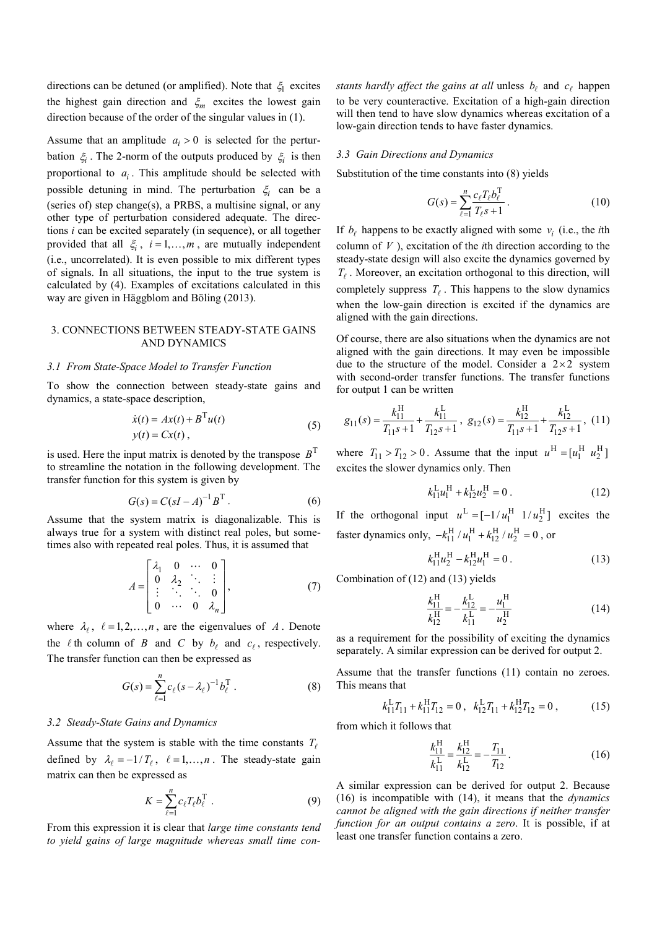directions can be detuned (or amplified). Note that  $\xi_1$  excites the highest gain direction and  $\xi_m$  excites the lowest gain direction because of the order of the singular values in (1).

Assume that an amplitude  $a_i > 0$  is selected for the perturbation  $\xi$  is then 2-norm of the outputs produced by  $\xi$  is then proportional to  $a_i$ . This amplitude should be selected with possible detuning in mind. The perturbation  $\xi$  can be a (series of) step change(s), a PRBS, a multisine signal, or any other type of perturbation considered adequate. The directions *i* can be excited separately (in sequence), or all together provided that all  $\xi_i$ ,  $i = 1, ..., m$ , are mutually independent (i.e., uncorrelated). It is even possible to mix different types of signals. In all situations, the input to the true system is calculated by (4). Examples of excitations calculated in this way are given in Häggblom and Böling (2013).

## 3. CONNECTIONS BETWEEN STEADY-STATE GAINS AND DYNAMICS

#### *3.1 From State-Space Model to Transfer Function*

To show the connection between steady-state gains and dynamics, a state-space description,

$$
\dot{x}(t) = Ax(t) + BTu(t)
$$
  
\n
$$
y(t) = Cx(t),
$$
\n(5)

is used. Here the input matrix is denoted by the transpose  $B<sup>T</sup>$ to streamline the notation in the following development. The transfer function for this system is given by

$$
G(s) = C(sI - A)^{-1}B^{T}.
$$
 (6)

Assume that the system matrix is diagonalizable. This is always true for a system with distinct real poles, but sometimes also with repeated real poles. Thus, it is assumed that

$$
A = \begin{bmatrix} \lambda_1 & 0 & \cdots & 0 \\ 0 & \lambda_2 & \ddots & \vdots \\ \vdots & \ddots & \ddots & 0 \\ 0 & \cdots & 0 & \lambda_n \end{bmatrix},
$$
 (7)

where  $\lambda_{\ell}$ ,  $\ell = 1, 2, ..., n$ , are the eigenvalues of *A*. Denote the  $\ell$  th column of *B* and *C* by  $b_{\ell}$  and  $c_{\ell}$ , respectively. The transfer function can then be expressed as

$$
G(s) = \sum_{\ell=1}^{n} c_{\ell} (s - \lambda_{\ell})^{-1} b_{\ell}^{T} . \qquad (8)
$$

#### *3.2 Steady-State Gains and Dynamics*

Assume that the system is stable with the time constants  $T_{\ell}$ defined by  $\lambda_{\ell} = -1/T_{\ell}$ ,  $\ell = 1,...,n$ . The steady-state gain matrix can then be expressed as

$$
K = \sum_{\ell=1}^{n} c_{\ell} T_{\ell} b_{\ell}^{\mathrm{T}} \tag{9}
$$

From this expression it is clear that *large time constants tend to yield gains of large magnitude whereas small time con-* *stants hardly affect the gains at all unless*  $b_{\ell}$  *and*  $c_{\ell}$  *happen* to be very counteractive. Excitation of a high-gain direction will then tend to have slow dynamics whereas excitation of a low-gain direction tends to have faster dynamics.

#### *3.3 Gain Directions and Dynamics*

Substitution of the time constants into (8) yields

$$
G(s) = \sum_{\ell=1}^{n} \frac{c_{\ell} T_{\ell} b_{\ell}^{T}}{T_{\ell} s + 1}.
$$
 (10)

If  $b_{\ell}$  happens to be exactly aligned with some  $v_i$  (i.e., the *i*th column of *V* ), excitation of the *i*th direction according to the steady-state design will also excite the dynamics governed by  $T_f$ . Moreover, an excitation orthogonal to this direction, will completely suppress  $T_{\ell}$ . This happens to the slow dynamics when the low-gain direction is excited if the dynamics are aligned with the gain directions.

Of course, there are also situations when the dynamics are not aligned with the gain directions. It may even be impossible due to the structure of the model. Consider a  $2 \times 2$  system with second-order transfer functions. The transfer functions for output 1 can be written

$$
g_{11}(s) = \frac{k_{11}^{\text{H}}}{T_{11}s + 1} + \frac{k_{11}^{\text{L}}}{T_{12}s + 1}, \ g_{12}(s) = \frac{k_{12}^{\text{H}}}{T_{11}s + 1} + \frac{k_{12}^{\text{L}}}{T_{12}s + 1}, \ (11)
$$

where  $T_{11} > T_{12} > 0$ . Assume that the input  $u^H = [u_1^H \ u_2^H]$ excites the slower dynamics only. Then

$$
k_{11}^{\text{L}}u_1^{\text{H}} + k_{12}^{\text{L}}u_2^{\text{H}} = 0 \tag{12}
$$

If the orthogonal input  $u^L = \begin{bmatrix} -1/u_1^H & 1/u_2^H \end{bmatrix}$  excites the faster dynamics only,  $-k_{11}^H / u_1^H + k_{12}^H / u_2^H = 0$ , or

$$
k_{11}^{\rm H} u_2^{\rm H} - k_{12}^{\rm H} u_1^{\rm H} = 0 \,. \tag{13}
$$

Combination of (12) and (13) yields

$$
\frac{k_{11}^{\text{H}}}{k_{12}^{\text{H}}} = -\frac{k_{12}^{\text{L}}}{k_{11}^{\text{L}}} = -\frac{u_1^{\text{H}}}{u_2^{\text{H}}}
$$
(14)

as a requirement for the possibility of exciting the dynamics separately. A similar expression can be derived for output 2.

Assume that the transfer functions (11) contain no zeroes. This means that

$$
k_{11}^{\text{L}}T_{11} + k_{11}^{\text{H}}T_{12} = 0 \,, \ \ k_{12}^{\text{L}}T_{11} + k_{12}^{\text{H}}T_{12} = 0 \,, \tag{15}
$$

from which it follows that

$$
\frac{k_{11}^{\text{H}}}{k_{11}^{\text{L}}} = \frac{k_{12}^{\text{H}}}{k_{12}^{\text{L}}} = -\frac{T_{11}}{T_{12}}.
$$
\n(16)

A similar expression can be derived for output 2. Because (16) is incompatible with (14), it means that the *dynamics cannot be aligned with the gain directions if neither transfer function for an output contains a zero*. It is possible, if at least one transfer function contains a zero.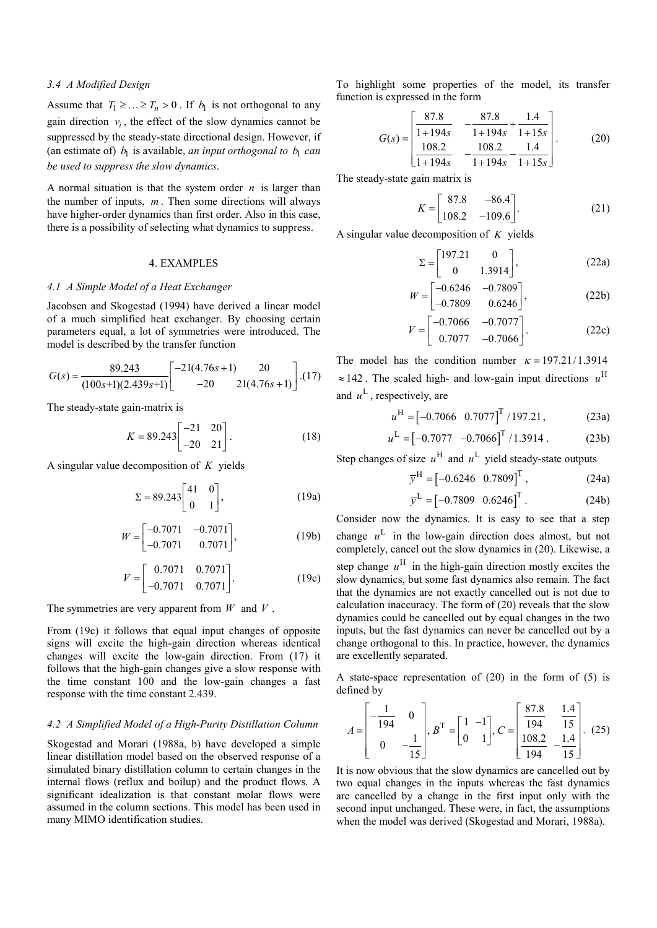## *3.4 A Modified Design*

Assume that  $T_1 \geq \ldots \geq T_n > 0$ . If  $b_1$  is not orthogonal to any gain direction  $v_i$ , the effect of the slow dynamics cannot be suppressed by the steady-state directional design. However, if (an estimate of)  $b_1$  is available, *an input orthogonal to*  $b_1$  *can be used to suppress the slow dynamics*.

A normal situation is that the system order *n* is larger than the number of inputs, *m* . Then some directions will always have higher-order dynamics than first order. Also in this case, there is a possibility of selecting what dynamics to suppress.

## 4. EXAMPLES

#### *4.1 A Simple Model of a Heat Exchanger*

Jacobsen and Skogestad (1994) have derived a linear model of a much simplified heat exchanger. By choosing certain parameters equal, a lot of symmetries were introduced. The model is described by the transfer function

$$
G(s) = \frac{89.243}{(100s+1)(2.439s+1)} \left[ \begin{array}{cc} -21(4.76s+1) & 20 \\ -20 & 21(4.76s+1) \end{array} \right].(17)
$$

The steady-state gain-matrix is

$$
K = 89.243 \begin{bmatrix} -21 & 20 \\ -20 & 21 \end{bmatrix} . \tag{18}
$$

A singular value decomposition of *K* yields

$$
\Sigma = 89.243 \begin{bmatrix} 41 & 0 \\ 0 & 1 \end{bmatrix}, \tag{19a}
$$

$$
W = \begin{bmatrix} -0.7071 & -0.7071 \\ -0.7071 & 0.7071 \end{bmatrix},
$$
 (19b)

$$
V = \begin{bmatrix} 0.7071 & 0.7071 \\ -0.7071 & 0.7071 \end{bmatrix}.
$$
 (19c)

The symmetries are very apparent from *W* and *V* .

From (19c) it follows that equal input changes of opposite signs will excite the high-gain direction whereas identical changes will excite the low-gain direction. From (17) it follows that the high-gain changes give a slow response with the time constant 100 and the low-gain changes a fast response with the time constant 2.439.

## *4.2 A Simplified Model of a High-Purity Distillation Column*

Skogestad and Morari (1988a, b) have developed a simple linear distillation model based on the observed response of a simulated binary distillation column to certain changes in the internal flows (reflux and boilup) and the product flows. A significant idealization is that constant molar flows were assumed in the column sections. This model has been used in many MIMO identification studies.

To highlight some properties of the model, its transfer function is expressed in the form

$$
G(s) = \begin{bmatrix} \frac{87.8}{1+194s} & -\frac{87.8}{1+194s} + \frac{1.4}{1+15s} \\ \frac{108.2}{1+194s} & -\frac{108.2}{1+194s} - \frac{1.4}{1+15s} \end{bmatrix}.
$$
 (20)

The steady-state gain matrix is

$$
K = \begin{bmatrix} 87.8 & -86.4 \\ 108.2 & -109.6 \end{bmatrix} .
$$
 (21)

A singular value decomposition of *K* yields

$$
\Sigma = \begin{bmatrix} 197.21 & 0 \\ 0 & 1.3914 \end{bmatrix},
$$
 (22a)

$$
W = \begin{bmatrix} -0.6246 & -0.7809 \\ -0.7809 & 0.6246 \end{bmatrix},
$$
 (22b)

$$
V = \begin{bmatrix} -0.7066 & -0.7077 \\ 0.7077 & -0.7066 \end{bmatrix}.
$$
 (22c)

The model has the condition number  $\kappa = 197.21/1.3914$  $\approx$  142. The scaled high- and low-gain input directions  $u^H$ and  $u^L$ , respectively, are

$$
u^{\rm H} = \begin{bmatrix} -0.7066 & 0.7077 \end{bmatrix}^{\rm T} / 197.21, \tag{23a}
$$

$$
u^{\text{L}} = \begin{bmatrix} -0.7077 & -0.7066 \end{bmatrix}^{\text{T}} / 1.3914 . \tag{23b}
$$

Step changes of size  $u^H$  and  $u^L$  yield steady-state outputs

$$
\overline{y}^{\text{H}} = \begin{bmatrix} -0.6246 & 0.7809 \end{bmatrix}^{\text{T}}, \qquad (24a)
$$

$$
\overline{y}^{\text{L}} = [-0.7809 \ 0.6246]^{\text{T}} \,. \tag{24b}
$$

Consider now the dynamics. It is easy to see that a step change  $u^L$  in the low-gain direction does almost, but not completely, cancel out the slow dynamics in (20). Likewise, a step change  $u^H$  in the high-gain direction mostly excites the slow dynamics, but some fast dynamics also remain. The fact that the dynamics are not exactly cancelled out is not due to calculation inaccuracy. The form of (20) reveals that the slow dynamics could be cancelled out by equal changes in the two inputs, but the fast dynamics can never be cancelled out by a change orthogonal to this. In practice, however, the dynamics are excellently separated.

A state-space representation of (20) in the form of (5) is defined by

$$
A = \begin{bmatrix} -\frac{1}{194} & 0 \\ 0 & -\frac{1}{15} \end{bmatrix}, B^{\mathrm{T}} = \begin{bmatrix} 1 & -1 \\ 0 & 1 \end{bmatrix}, C = \begin{bmatrix} \frac{87.8}{194} & \frac{1.4}{15} \\ \frac{108.2}{194} & -\frac{1.4}{15} \end{bmatrix}. (25)
$$

It is now obvious that the slow dynamics are cancelled out by two equal changes in the inputs whereas the fast dynamics are cancelled by a change in the first input only with the second input unchanged. These were, in fact, the assumptions when the model was derived (Skogestad and Morari, 1988a).